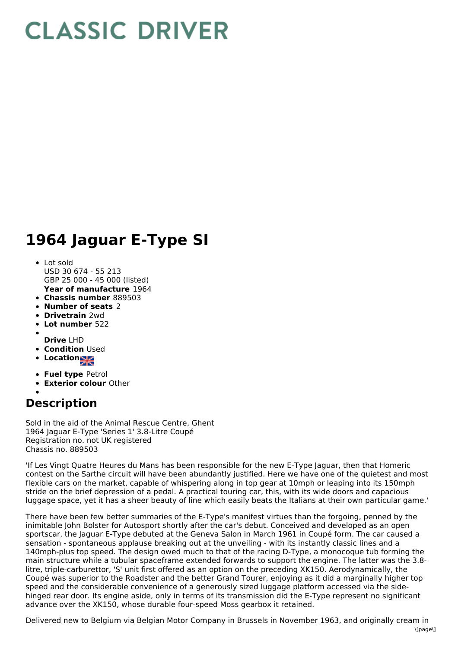## **CLASSIC DRIVER**

## **1964 Jaguar E-Type SI**

## • Lot sold

- **Year of manufacture** 1964 USD 30 674 - 55 213 GBP 25 000 - 45 000 (listed)
- **Chassis number** 889503
- **Number of seats** 2
- **Drivetrain** 2wd
- **Lot number** 522
- 
- **Drive** LHD **• Condition Used**
- **Location**
- 
- **Fuel type** Petrol
- **Exterior colour** Other

## **Description**

Sold in the aid of the Animal Rescue Centre, Ghent 1964 Jaguar E-Type 'Series 1' 3.8-Litre Coupé Registration no. not UK registered Chassis no. 889503

'If Les Vingt Quatre Heures du Mans has been responsible for the new E-Type Jaguar, then that Homeric contest on the Sarthe circuit will have been abundantly justified. Here we have one of the quietest and most flexible cars on the market, capable of whispering along in top gear at 10mph or leaping into its 150mph stride on the brief depression of a pedal. A practical touring car, this, with its wide doors and capacious luggage space, yet it has a sheer beauty of line which easily beats the Italians at their own particular game.'

There have been few better summaries of the E-Type's manifest virtues than the forgoing, penned by the inimitable John Bolster for Autosport shortly after the car's debut. Conceived and developed as an open sportscar, the Jaguar E-Type debuted at the Geneva Salon in March 1961 in Coupé form. The car caused a sensation - spontaneous applause breaking out at the unveiling - with its instantly classic lines and a 140mph-plus top speed. The design owed much to that of the racing D-Type, a monocoque tub forming the main structure while a tubular spaceframe extended forwards to support the engine. The latter was the 3.8 litre, triple-carburettor, 'S' unit first offered as an option on the preceding XK150. Aerodynamically, the Coupé was superior to the Roadster and the better Grand Tourer, enjoying as it did a marginally higher top speed and the considerable convenience of a generously sized luggage platform accessed via the sidehinged rear door. Its engine aside, only in terms of its transmission did the E-Type represent no significant advance over the XK150, whose durable four-speed Moss gearbox it retained.

Delivered new to Belgium via Belgian Motor Company in Brussels in November 1963, and originally cream in